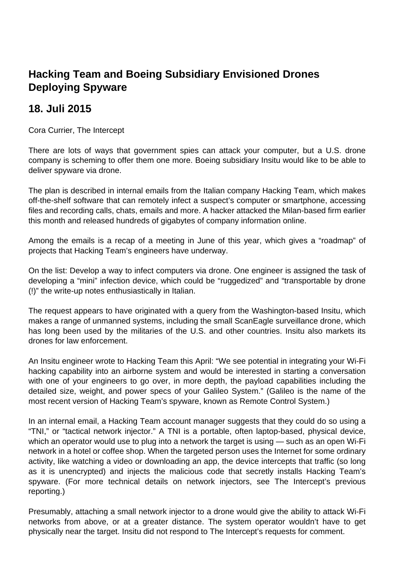## **Hacking Team and Boeing Subsidiary Envisioned Drones Deploying Spyware**

## **18. Juli 2015**

Cora Currier, The Intercept

There are lots of ways that government spies can attack your computer, but a U.S. drone company is scheming to offer them one more. Boeing subsidiary Insitu would like to be able to deliver spyware via drone.

The plan is described in internal emails from the Italian company Hacking Team, which makes off-the-shelf software that can remotely infect a suspect's computer or smartphone, accessing files and recording calls, chats, emails and more. A hacker attacked the Milan-based firm earlier this month and released hundreds of gigabytes of company information online.

Among the emails is a recap of a meeting in June of this year, which gives a "roadmap" of projects that Hacking Team's engineers have underway.

On the list: Develop a way to infect computers via drone. One engineer is assigned the task of developing a "mini" infection device, which could be "ruggedized" and "transportable by drone (!)" the write-up notes enthusiastically in Italian.

The request appears to have originated with a query from the Washington-based Insitu, which makes a range of unmanned systems, including the small ScanEagle surveillance drone, which has long been used by the militaries of the U.S. and other countries. Insitu also markets its drones for law enforcement.

An Insitu engineer wrote to Hacking Team this April: "We see potential in integrating your Wi-Fi hacking capability into an airborne system and would be interested in starting a conversation with one of your engineers to go over, in more depth, the payload capabilities including the detailed size, weight, and power specs of your Galileo System." (Galileo is the name of the most recent version of Hacking Team's spyware, known as Remote Control System.)

In an internal email, a Hacking Team account manager suggests that they could do so using a "TNI," or "tactical network injector." A TNI is a portable, often laptop-based, physical device, which an operator would use to plug into a network the target is using — such as an open Wi-Fi network in a hotel or coffee shop. When the targeted person uses the Internet for some ordinary activity, like watching a video or downloading an app, the device intercepts that traffic (so long as it is unencrypted) and injects the malicious code that secretly installs Hacking Team's spyware. (For more technical details on network injectors, see The Intercept's previous reporting.)

Presumably, attaching a small network injector to a drone would give the ability to attack Wi-Fi networks from above, or at a greater distance. The system operator wouldn't have to get physically near the target. Insitu did not respond to The Intercept's requests for comment.